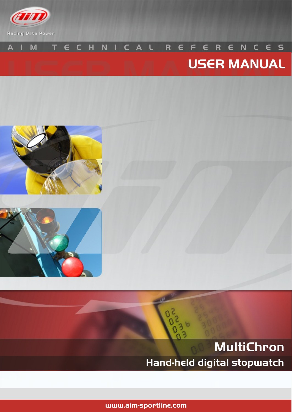

# AIM TECH NICA L REFE REN CES USER MANUAL





# MultiChron Hand-held digital stopwatch

www.aim-sportline.com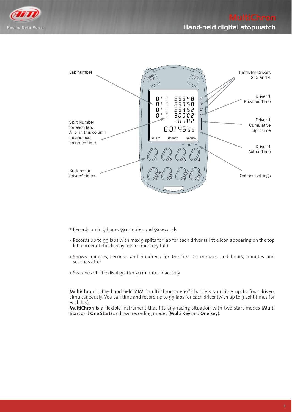



- Records up to 9 hours 59 minutes and 59 seconds
- Records up to 99 laps with max 9 splits for lap for each driver (a little icon appearing on the top left corner of the display means memory full)
- Shows minutes, seconds and hundreds for the first 30 minutes and hours, minutes and seconds after
- Switches off the display after 30 minutes inactivity

**MultiChron** is the hand-held AIM "multi-chronometer" that lets you time up to four drivers simultaneously. You can time and record up to 99 laps for each driver (with up to 9 split times for each lap).

**MultiChron** is a flexible instrument that fits any racing situation with two start modes (**Multi Start** and **One Start**) and two recording modes (**Multi Key** and **One key**).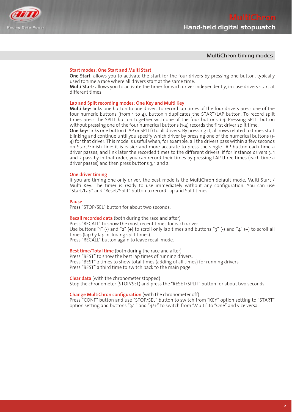

# MultiChron timing modes

## **Start modes: One Start and Multi Start**

**One Start**: allows you to activate the start for the four drivers by pressing one button, typically used to time a race where all drivers start at the same time.

**Multi Start**: allows you to activate the timer for each driver independently, in case drivers start at different times.

### **Lap and Split recording modes: One Key and Multi Key**

**Multi key**: links one button to one driver. To record lap times of the four drivers press one of the four numeric buttons (from 1 to 4); button 1 duplicates the START/LAP button. To record split times press the SPLIT button together with one of the four buttons 1-4. Pressing SPLIT button without pressing one of the four numerical buttons (1-4) records the first driver split time.

**One key**: links one button (LAP or SPLIT) to all drivers. By pressing it, all rows related to times start blinking and continue until you specify which driver by pressing one of the numerical buttons (1- 4) for that driver. This mode is useful when, for example, all the drivers pass within a few seconds on Start/Finish Line: it is easier and more accurate to press the single LAP button each time a driver passes, and link later the recorded times to the different drivers. If for instance drivers 3, 1 and 2 pass by in that order, you can record their times by pressing LAP three times (each time a driver passes) and then press buttons 3, 1 and 2.

#### **One driver timing**

If you are timing one only driver, the best mode is the MultiChron default mode, Multi Start / Multi Key. The timer is ready to use immediately without any configuration. You can use "Start/Lap" and "Reset/Split" button to record Lap and Split times.

#### **Pause**

Press "STOP/SEL" button for about two seconds.

## **Recall recorded data** (both during the race and after)

Press "RECALL" to show the most recent times for each driver. Use buttons "1" (-) and "2" (+) to scroll only lap times and buttons "3" (-) and " $\mu$ " (+) to scroll all times (lap by lap including split times). Press "RECALL" button again to leave recall mode.

**Best time/Total time** (both during the race and after)

Press "BEST" to show the best lap times of running drivers. Press "BEST" 2 times to show total times (adding of all times) for running drivers. Press "BEST" a third time to switch back to the main page.

**Clear data** (with the chronometer stopped) Stop the chronometer (STOP/SEL) and press the "RESET/SPLIT" button for about two seconds.

# **Change MultiChron configuration** (with the chronometer off)

Press "CONF" button and use "STOP/SEL" button to switch from "KEY" option setting to "START" option setting and buttons "3/-" and "4/+" to switch from "Multi" to "One" and vice versa.